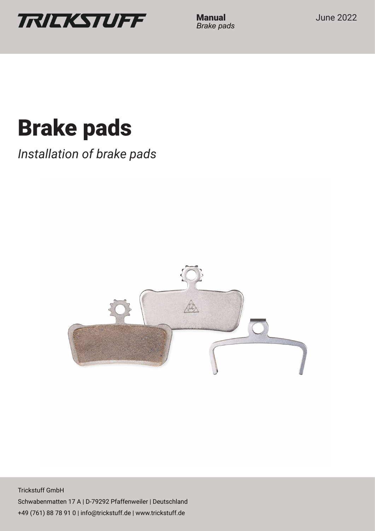

*Brake pads*

# **Brake pads**

*Installation of brake pads*



Trickstuff GmbH Schwabenmatten 17 A | D-79292 Pfaffenweiler | Deutschland +49 (761) 88 78 91 0 | info@trickstuff.de | www.trickstuff.de